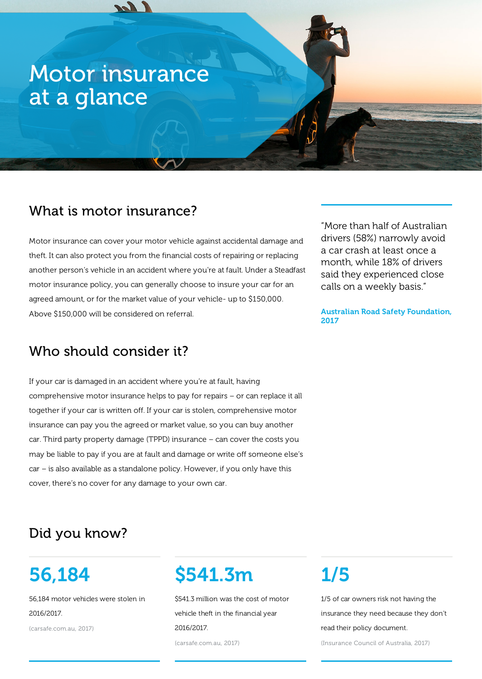# Motor insurance at a glance

### What is motor insurance?

Motor insurance can cover your motor vehicle against accidental damage and theft. It can also protect you from the financial costs of repairing or replacing another person's vehicle in an accident where you're at fault. Under a Steadfast motor insurance policy, you can generally choose to insure your car for an agreed amount, or for the market value of your vehicle- up to \$150,000. Above \$150,000 will be considered on referral.

### Who should consider it?

If your car is damaged in an accident where you're at fault, having comprehensive motor insurance helps to pay for repairs – or can replace it all together if your car is written off. If your car is stolen, comprehensive motor insurance can pay you the agreed or market value, so you can buy another car. Third party property damage (TPPD) insurance – can cover the costs you may be liable to pay if you are at fault and damage or write off someone else's car – is also available as a standalone policy. However, if you only have this cover, there's no cover for any damage to your own car.

"More than half of Australian drivers (58%) narrowly avoid a car crash at least once a month, while 18% of drivers said they experienced close calls on a weekly basis."

Australian Road Safety Foundation, 2017

### Did you know?

# 56,184

56,184 motor vehicles were stolen in 2016/2017. (carsafe.com.au, 2017)

# \$541.3m

\$541.3 million was the cost of motor vehicle theft in the financial year 2016/2017.

(carsafe.com.au, 2017)

# 1/5

1/5 of car owners risk not having the insurance they need because they don't read their policy document.

(Insurance Council of Australia, 2017)